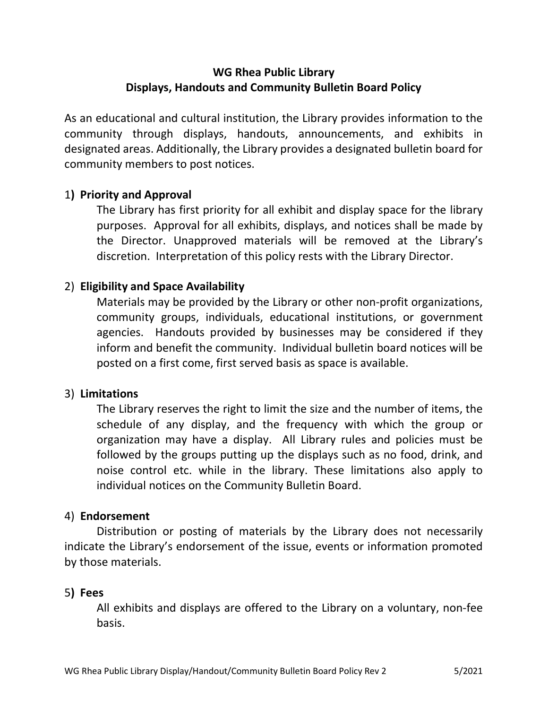# WG Rhea Public Library Displays, Handouts and Community Bulletin Board Policy

As an educational and cultural institution, the Library provides information to the community through displays, handouts, announcements, and exhibits in designated areas. Additionally, the Library provides a designated bulletin board for community members to post notices.

## 1) Priority and Approval

The Library has first priority for all exhibit and display space for the library purposes. Approval for all exhibits, displays, and notices shall be made by the Director. Unapproved materials will be removed at the Library's discretion. Interpretation of this policy rests with the Library Director.

# 2) Eligibility and Space Availability

Materials may be provided by the Library or other non-profit organizations, community groups, individuals, educational institutions, or government agencies. Handouts provided by businesses may be considered if they inform and benefit the community. Individual bulletin board notices will be posted on a first come, first served basis as space is available.

## 3) Limitations

The Library reserves the right to limit the size and the number of items, the schedule of any display, and the frequency with which the group or organization may have a display. All Library rules and policies must be followed by the groups putting up the displays such as no food, drink, and noise control etc. while in the library. These limitations also apply to individual notices on the Community Bulletin Board.

#### 4) Endorsement

Distribution or posting of materials by the Library does not necessarily indicate the Library's endorsement of the issue, events or information promoted by those materials.

#### 5) Fees

All exhibits and displays are offered to the Library on a voluntary, non-fee basis.